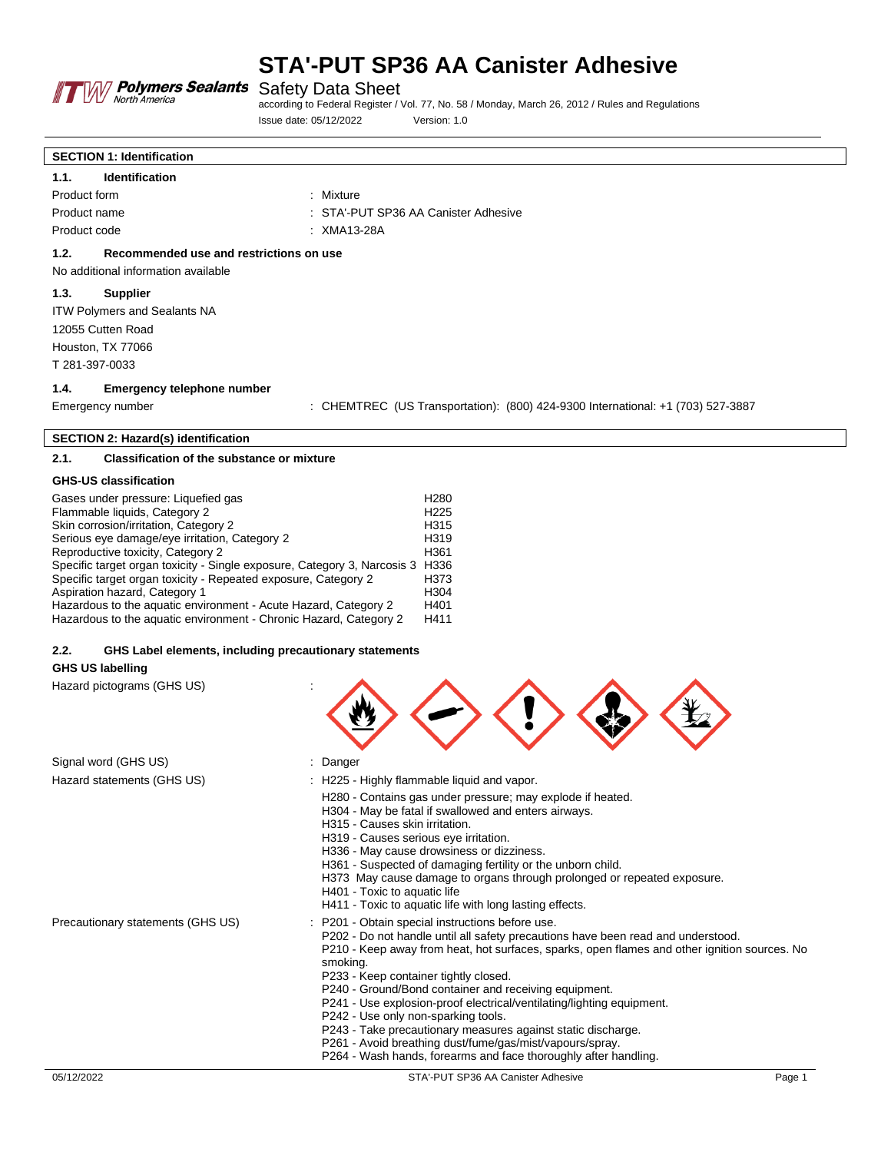

according to Federal Register / Vol. 77, No. 58 / Monday, March 26, 2012 / Rules and Regulations Issue date: 05/12/2022 Version: 1.0

# **SECTION 1: Identification 1.1. Identification** Product form : Mixture : Mixture Product name The STA'-PUT SP36 AA Canister Adhesive Product code : XMA13-28A **1.2. Recommended use and restrictions on use** No additional information available **1.3. Supplier** ITW Polymers and Sealants NA 12055 Cutten Road Houston, TX 77066 T 281-397-0033 **1.4. Emergency telephone number**

Emergency number : CHEMTREC (US Transportation): (800) 424-9300 International: +1 (703) 527-3887

 $\langle \rightarrow \langle 1 \rangle \langle 2 \rangle \langle 1 \rangle$ 

#### **SECTION 2: Hazard(s) identification**

# **2.1. Classification of the substance or mixture**

### **GHS-US classification**

| Gases under pressure: Liquefied gas                                           | H <sub>280</sub> |
|-------------------------------------------------------------------------------|------------------|
| Flammable liquids, Category 2                                                 | H <sub>225</sub> |
| Skin corrosion/irritation, Category 2                                         | H <sub>315</sub> |
| Serious eye damage/eye irritation, Category 2                                 | H <sub>319</sub> |
| Reproductive toxicity, Category 2                                             | H361             |
| Specific target organ toxicity - Single exposure, Category 3, Narcosis 3 H336 |                  |
| Specific target organ toxicity - Repeated exposure, Category 2                | H373             |
| Aspiration hazard, Category 1                                                 | H304             |
| Hazardous to the aquatic environment - Acute Hazard, Category 2               | H401             |
| Hazardous to the aquatic environment - Chronic Hazard, Category 2             | H411             |

## **2.2. GHS Label elements, including precautionary statements**

## **GHS US labelling**

Hazard pictograms (GHS US) :

| Signal word (GHS US)              | : Danger                                                                                                                                                                                                                                                                                                                                                                                                                                                                                                                                                                                                                                                        |
|-----------------------------------|-----------------------------------------------------------------------------------------------------------------------------------------------------------------------------------------------------------------------------------------------------------------------------------------------------------------------------------------------------------------------------------------------------------------------------------------------------------------------------------------------------------------------------------------------------------------------------------------------------------------------------------------------------------------|
| Hazard statements (GHS US)        | : H225 - Highly flammable liquid and vapor.<br>H280 - Contains gas under pressure; may explode if heated.<br>H304 - May be fatal if swallowed and enters airways.<br>H315 - Causes skin irritation.<br>H319 - Causes serious eye irritation.<br>H336 - May cause drowsiness or dizziness.<br>H361 - Suspected of damaging fertility or the unborn child.<br>H373 May cause damage to organs through prolonged or repeated exposure.<br>H401 - Toxic to aquatic life<br>H411 - Toxic to aquatic life with long lasting effects.                                                                                                                                  |
| Precautionary statements (GHS US) | P201 - Obtain special instructions before use.<br>P202 - Do not handle until all safety precautions have been read and understood.<br>P210 - Keep away from heat, hot surfaces, sparks, open flames and other ignition sources. No<br>smoking.<br>P233 - Keep container tightly closed.<br>P240 - Ground/Bond container and receiving equipment.<br>P241 - Use explosion-proof electrical/ventilating/lighting equipment.<br>P242 - Use only non-sparking tools.<br>P243 - Take precautionary measures against static discharge.<br>P261 - Avoid breathing dust/fume/gas/mist/vapours/spray.<br>P264 - Wash hands, forearms and face thoroughly after handling. |
| 05/12/2022                        | STA'-PUT SP36 AA Canister Adhesive<br>Page 1                                                                                                                                                                                                                                                                                                                                                                                                                                                                                                                                                                                                                    |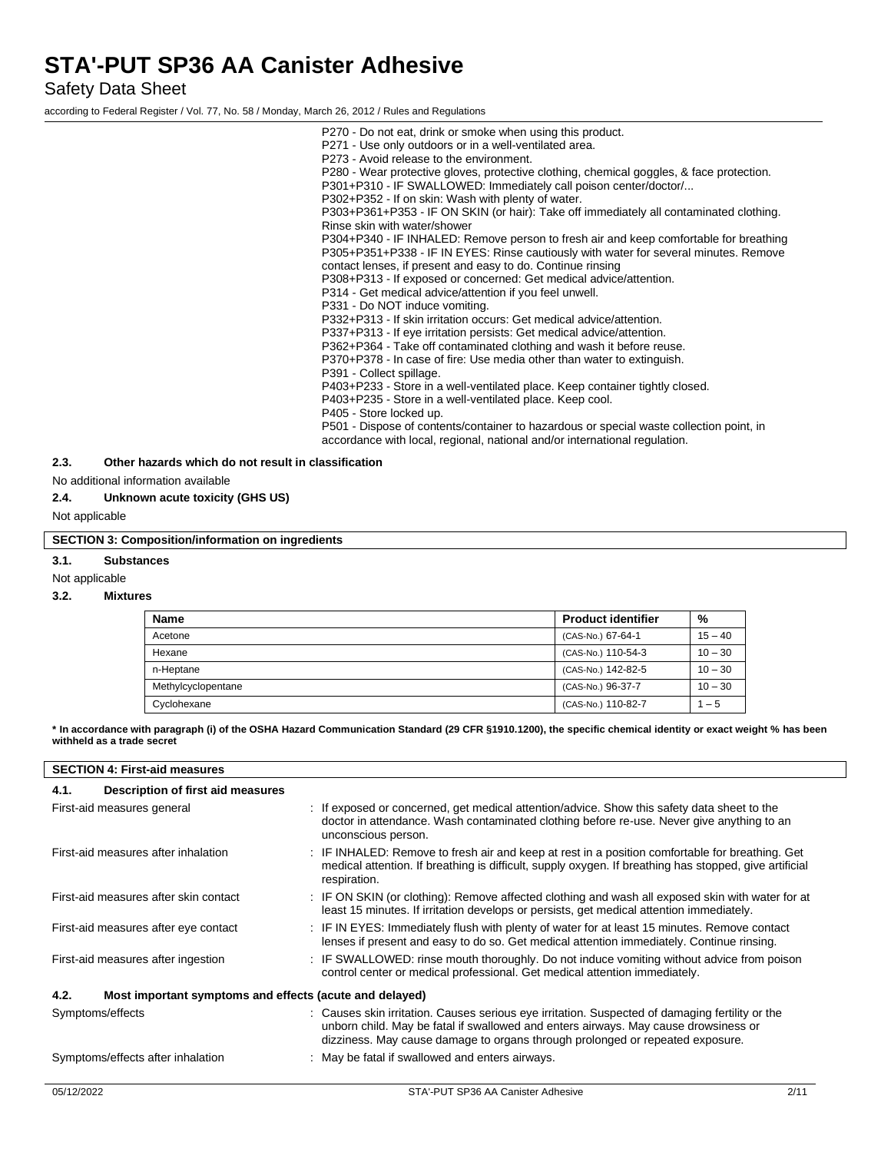Safety Data Sheet

according to Federal Register / Vol. 77, No. 58 / Monday, March 26, 2012 / Rules and Regulations

P270 - Do not eat, drink or smoke when using this product. P271 - Use only outdoors or in a well-ventilated area. P273 - Avoid release to the environment. P280 - Wear protective gloves, protective clothing, chemical goggles, & face protection. P301+P310 - IF SWALLOWED: Immediately call poison center/doctor/... P302+P352 - If on skin: Wash with plenty of water. P303+P361+P353 - IF ON SKIN (or hair): Take off immediately all contaminated clothing. Rinse skin with water/shower P304+P340 - IF INHALED: Remove person to fresh air and keep comfortable for breathing P305+P351+P338 - IF IN EYES: Rinse cautiously with water for several minutes. Remove contact lenses, if present and easy to do. Continue rinsing P308+P313 - If exposed or concerned: Get medical advice/attention. P314 - Get medical advice/attention if you feel unwell. P331 - Do NOT induce vomiting. P332+P313 - If skin irritation occurs: Get medical advice/attention. P337+P313 - If eye irritation persists: Get medical advice/attention. P362+P364 - Take off contaminated clothing and wash it before reuse. P370+P378 - In case of fire: Use media other than water to extinguish. P391 - Collect spillage. P403+P233 - Store in a well-ventilated place. Keep container tightly closed. P403+P235 - Store in a well-ventilated place. Keep cool. P405 - Store locked up. P501 - Dispose of contents/container to hazardous or special waste collection point, in accordance with local, regional, national and/or international regulation.

### **2.3. Other hazards which do not result in classification**

No additional information available

#### **2.4. Unknown acute toxicity (GHS US)**

Not applicable

#### **SECTION 3: Composition/information on ingredients**

#### **3.1. Substances**

Not applicable

#### **3.2. Mixtures**

| Name               | <b>Product identifier</b> | %         |
|--------------------|---------------------------|-----------|
| Acetone            | (CAS-No.) 67-64-1         | $15 - 40$ |
| Hexane             | (CAS-No.) 110-54-3        | $10 - 30$ |
| n-Heptane          | (CAS-No.) 142-82-5        | $10 - 30$ |
| Methylcyclopentane | (CAS-No.) 96-37-7         | $10 - 30$ |
| Cyclohexane        | (CAS-No.) 110-82-7        | $1 - 5$   |

**\* In accordance with paragraph (i) of the OSHA Hazard Communication Standard (29 CFR §1910.1200), the specific chemical identity or exact weight % has been withheld as a trade secret**

| <b>SECTION 4: First-aid measures</b>                            |                                                                                                                                                                                                                                                                         |  |  |
|-----------------------------------------------------------------|-------------------------------------------------------------------------------------------------------------------------------------------------------------------------------------------------------------------------------------------------------------------------|--|--|
| Description of first aid measures<br>4.1.                       |                                                                                                                                                                                                                                                                         |  |  |
| First-aid measures general                                      | : If exposed or concerned, get medical attention/advice. Show this safety data sheet to the<br>doctor in attendance. Wash contaminated clothing before re-use. Never give anything to an<br>unconscious person.                                                         |  |  |
| First-aid measures after inhalation                             | : IF INHALED: Remove to fresh air and keep at rest in a position comfortable for breathing. Get<br>medical attention. If breathing is difficult, supply oxygen. If breathing has stopped, give artificial<br>respiration.                                               |  |  |
| First-aid measures after skin contact                           | : IF ON SKIN (or clothing): Remove affected clothing and wash all exposed skin with water for at<br>least 15 minutes. If irritation develops or persists, get medical attention immediately.                                                                            |  |  |
| First-aid measures after eye contact                            | : IF IN EYES: Immediately flush with plenty of water for at least 15 minutes. Remove contact<br>lenses if present and easy to do so. Get medical attention immediately. Continue rinsing.                                                                               |  |  |
| First-aid measures after ingestion                              | : IF SWALLOWED: rinse mouth thoroughly. Do not induce vomiting without advice from poison<br>control center or medical professional. Get medical attention immediately.                                                                                                 |  |  |
| 4.2.<br>Most important symptoms and effects (acute and delayed) |                                                                                                                                                                                                                                                                         |  |  |
| Symptoms/effects                                                | : Causes skin irritation. Causes serious eye irritation. Suspected of damaging fertility or the<br>unborn child. May be fatal if swallowed and enters airways. May cause drowsiness or<br>dizziness. May cause damage to organs through prolonged or repeated exposure. |  |  |
| Symptoms/effects after inhalation                               | : May be fatal if swallowed and enters airways.                                                                                                                                                                                                                         |  |  |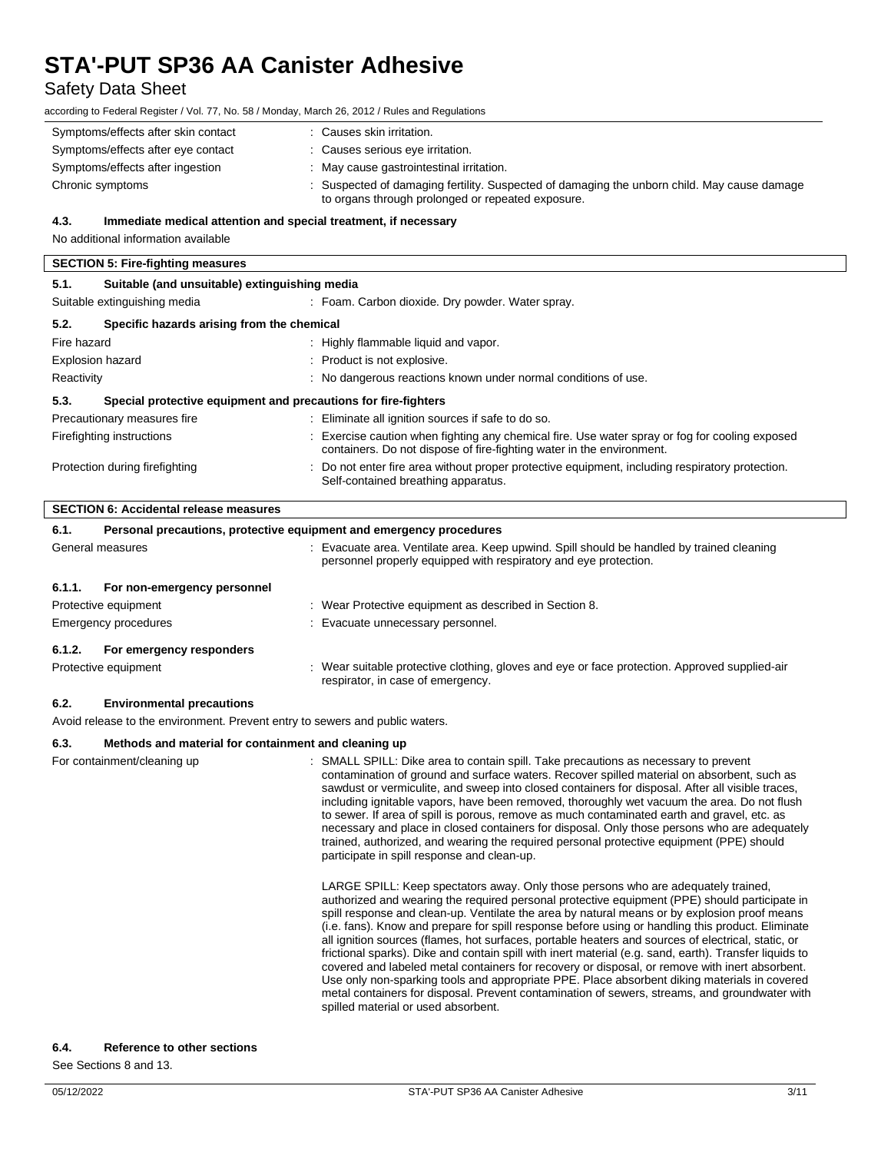# Safety Data Sheet

according to Federal Register / Vol. 77, No. 58 / Monday, March 26, 2012 / Rules and Regulations

| Symptoms/effects after skin contact | : Causes skin irritation.                                                                                                                        |
|-------------------------------------|--------------------------------------------------------------------------------------------------------------------------------------------------|
| Symptoms/effects after eye contact  | : Causes serious eye irritation.                                                                                                                 |
| Symptoms/effects after ingestion    | : May cause gastrointestinal irritation.                                                                                                         |
| Chronic symptoms                    | : Suspected of damaging fertility. Suspected of damaging the unborn child. May cause damage<br>to organs through prolonged or repeated exposure. |

#### **4.3. Immediate medical attention and special treatment, if necessary**

No additional information available **SECTION 5: Fire-fighting measures**

# **5.1. Suitable (and unsuitable) extinguishing media** Suitable extinguishing media : Foam. Carbon dioxide. Dry powder. Water spray. **5.2. Specific hazards arising from the chemical** Fire hazard **in the summable in the set of the set of the set of the set of the set of the set of the set of the set of the set of the set of the set of the set of the set of the set of the set of the set of the set of the** Explosion hazard  $\Box$  : Product is not explosive. Reactivity **Secure 20 August 2018** : No dangerous reactions known under normal conditions of use. **5.3. Special protective equipment and precautions for fire-fighters** Precautionary measures fire **interest in the Community Community** Eliminate all ignition sources if safe to do so. Firefighting instructions : Exercise caution when fighting any chemical fire. Use water spray or fog for cooling exposed containers. Do not dispose of fire-fighting water in the environment. Protection during firefighting **intertion** : Do not enter fire area without proper protective equipment, including respiratory protection. Self-contained breathing apparatus.

#### **SECTION 6: Accidental release measures**

| 6.1.   | Personal precautions, protective equipment and emergency procedures |  |                                                                                                                                                             |
|--------|---------------------------------------------------------------------|--|-------------------------------------------------------------------------------------------------------------------------------------------------------------|
|        | General measures                                                    |  | Evacuate area. Ventilate area. Keep upwind. Spill should be handled by trained cleaning<br>personnel properly equipped with respiratory and eye protection. |
| 6.1.1. | For non-emergency personnel                                         |  |                                                                                                                                                             |
|        | Protective equipment                                                |  | : Wear Protective equipment as described in Section 8.                                                                                                      |
|        | Emergency procedures                                                |  | : Evacuate unnecessary personnel.                                                                                                                           |
| 6.1.2. | For emergency responders                                            |  |                                                                                                                                                             |
|        | Protective equipment                                                |  | : Wear suitable protective clothing, gloves and eye or face protection. Approved supplied-air<br>respirator, in case of emergency.                          |

## **6.2. Environmental precautions**

Avoid release to the environment. Prevent entry to sewers and public waters.

#### **6.3. Methods and material for containment and cleaning up**

For containment/cleaning up : SMALL SPILL: Dike area to contain spill. Take precautions as necessary to prevent contamination of ground and surface waters. Recover spilled material on absorbent, such as sawdust or vermiculite, and sweep into closed containers for disposal. After all visible traces, including ignitable vapors, have been removed, thoroughly wet vacuum the area. Do not flush to sewer. If area of spill is porous, remove as much contaminated earth and gravel, etc. as necessary and place in closed containers for disposal. Only those persons who are adequately trained, authorized, and wearing the required personal protective equipment (PPE) should participate in spill response and clean-up.

> LARGE SPILL: Keep spectators away. Only those persons who are adequately trained, authorized and wearing the required personal protective equipment (PPE) should participate in spill response and clean-up. Ventilate the area by natural means or by explosion proof means (i.e. fans). Know and prepare for spill response before using or handling this product. Eliminate all ignition sources (flames, hot surfaces, portable heaters and sources of electrical, static, or frictional sparks). Dike and contain spill with inert material (e.g. sand, earth). Transfer liquids to covered and labeled metal containers for recovery or disposal, or remove with inert absorbent. Use only non-sparking tools and appropriate PPE. Place absorbent diking materials in covered metal containers for disposal. Prevent contamination of sewers, streams, and groundwater with spilled material or used absorbent.

#### **6.4. Reference to other sections**

See Sections 8 and 13.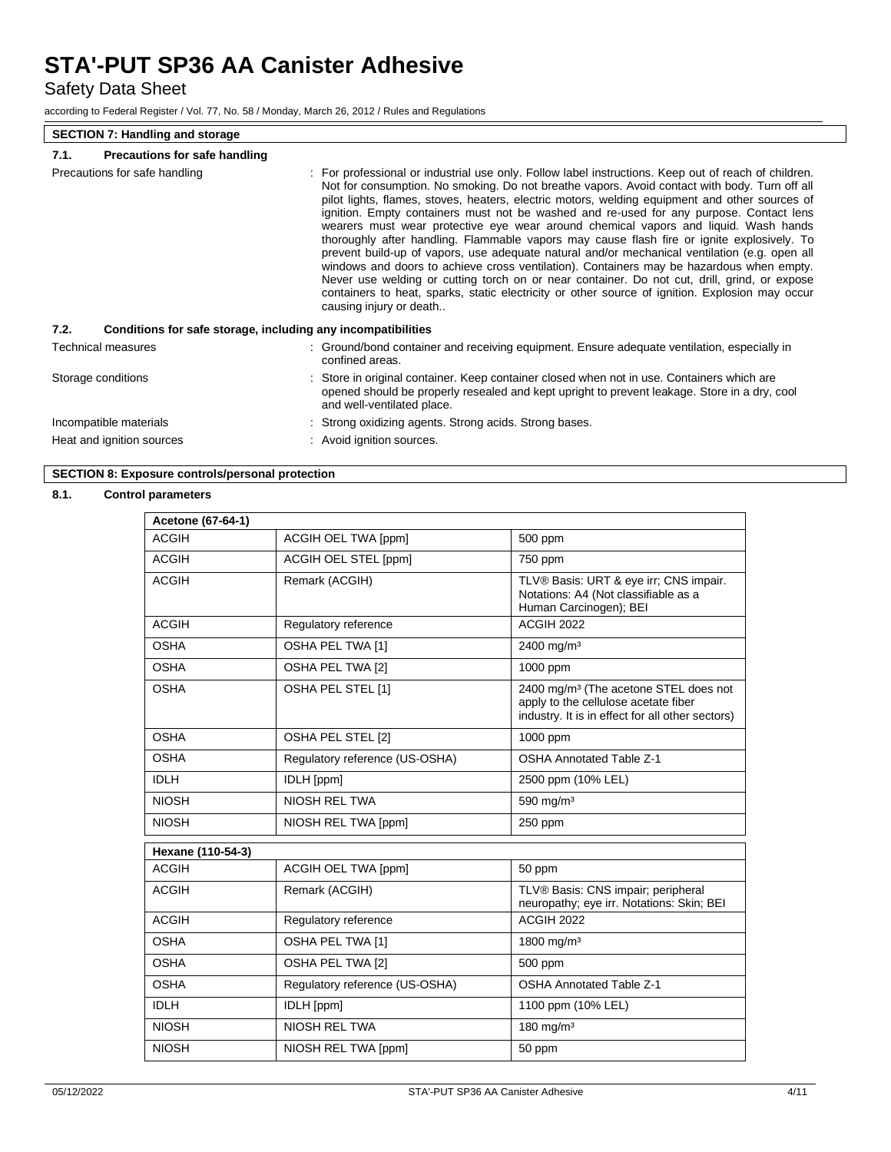Safety Data Sheet

according to Federal Register / Vol. 77, No. 58 / Monday, March 26, 2012 / Rules and Regulations

### **SECTION 7: Handling and storage**

### **7.1. Precautions for safe handling**

| Precautions for safe handling                                        | : For professional or industrial use only. Follow label instructions. Keep out of reach of children.<br>Not for consumption. No smoking. Do not breathe vapors. Avoid contact with body. Turn off all<br>pilot lights, flames, stoves, heaters, electric motors, welding equipment and other sources of<br>ignition. Empty containers must not be washed and re-used for any purpose. Contact lens<br>wearers must wear protective eye wear around chemical vapors and liquid. Wash hands<br>thoroughly after handling. Flammable vapors may cause flash fire or ignite explosively. To<br>prevent build-up of vapors, use adequate natural and/or mechanical ventilation (e.g. open all<br>windows and doors to achieve cross ventilation). Containers may be hazardous when empty.<br>Never use welding or cutting torch on or near container. Do not cut, drill, grind, or expose<br>containers to heat, sparks, static electricity or other source of ignition. Explosion may occur<br>causing injury or death |
|----------------------------------------------------------------------|--------------------------------------------------------------------------------------------------------------------------------------------------------------------------------------------------------------------------------------------------------------------------------------------------------------------------------------------------------------------------------------------------------------------------------------------------------------------------------------------------------------------------------------------------------------------------------------------------------------------------------------------------------------------------------------------------------------------------------------------------------------------------------------------------------------------------------------------------------------------------------------------------------------------------------------------------------------------------------------------------------------------|
| Conditions for safe storage, including any incompatibilities<br>7.2. |                                                                                                                                                                                                                                                                                                                                                                                                                                                                                                                                                                                                                                                                                                                                                                                                                                                                                                                                                                                                                    |
| Technical measures                                                   | : Ground/bond container and receiving equipment. Ensure adequate ventilation, especially in<br>confined areas.                                                                                                                                                                                                                                                                                                                                                                                                                                                                                                                                                                                                                                                                                                                                                                                                                                                                                                     |
| Storage conditions                                                   | Store in original container. Keep container closed when not in use. Containers which are<br>opened should be properly resealed and kept upright to prevent leakage. Store in a dry, cool<br>and well-ventilated place.                                                                                                                                                                                                                                                                                                                                                                                                                                                                                                                                                                                                                                                                                                                                                                                             |
| Incompatible materials                                               | Strong oxidizing agents. Strong acids. Strong bases.                                                                                                                                                                                                                                                                                                                                                                                                                                                                                                                                                                                                                                                                                                                                                                                                                                                                                                                                                               |
| Heat and ignition sources                                            | : Avoid ignition sources.                                                                                                                                                                                                                                                                                                                                                                                                                                                                                                                                                                                                                                                                                                                                                                                                                                                                                                                                                                                          |

# **SECTION 8: Exposure controls/personal protection**

## **8.1. Control parameters**

| Acetone (67-64-1) |                                |                                                                                                                                               |
|-------------------|--------------------------------|-----------------------------------------------------------------------------------------------------------------------------------------------|
| <b>ACGIH</b>      | <b>ACGIH OEL TWA [ppm]</b>     | 500 ppm                                                                                                                                       |
| <b>ACGIH</b>      | <b>ACGIH OEL STEL [ppm]</b>    | 750 ppm                                                                                                                                       |
| <b>ACGIH</b>      | Remark (ACGIH)                 | TLV® Basis: URT & eye irr; CNS impair.<br>Notations: A4 (Not classifiable as a<br>Human Carcinogen); BEI                                      |
| <b>ACGIH</b>      | Regulatory reference           | <b>ACGIH 2022</b>                                                                                                                             |
| <b>OSHA</b>       | OSHA PEL TWA [1]               | 2400 mg/m <sup>3</sup>                                                                                                                        |
| <b>OSHA</b>       | OSHA PEL TWA [2]               | 1000 ppm                                                                                                                                      |
| <b>OSHA</b>       | OSHA PEL STEL [1]              | 2400 mg/m <sup>3</sup> (The acetone STEL does not<br>apply to the cellulose acetate fiber<br>industry. It is in effect for all other sectors) |
| OSHA              | OSHA PEL STEL [2]              | 1000 ppm                                                                                                                                      |
| <b>OSHA</b>       | Regulatory reference (US-OSHA) | <b>OSHA Annotated Table Z-1</b>                                                                                                               |
| <b>IDLH</b>       | <b>IDLH</b> [ppm]              | 2500 ppm (10% LEL)                                                                                                                            |
| <b>NIOSH</b>      | NIOSH REL TWA                  | 590 mg/m <sup>3</sup>                                                                                                                         |
| <b>NIOSH</b>      | NIOSH REL TWA [ppm]            | 250 ppm                                                                                                                                       |
| Hexane (110-54-3) |                                |                                                                                                                                               |
| <b>ACGIH</b>      | <b>ACGIH OEL TWA [ppm]</b>     | 50 ppm                                                                                                                                        |
| <b>ACGIH</b>      | Remark (ACGIH)                 | TLV® Basis: CNS impair; peripheral<br>neuropathy; eye irr. Notations: Skin; BEI                                                               |
| <b>ACGIH</b>      | Regulatory reference           | <b>ACGIH 2022</b>                                                                                                                             |
| <b>OSHA</b>       | OSHA PEL TWA [1]               | 1800 mg/m <sup>3</sup>                                                                                                                        |
| <b>OSHA</b>       | OSHA PEL TWA [2]               | 500 ppm                                                                                                                                       |
| <b>OSHA</b>       | Regulatory reference (US-OSHA) | <b>OSHA Annotated Table Z-1</b>                                                                                                               |
| <b>IDLH</b>       | IDLH [ppm]                     | 1100 ppm (10% LEL)                                                                                                                            |
| <b>NIOSH</b>      | NIOSH REL TWA                  | $180 \text{ mg/m}^3$                                                                                                                          |
| <b>NIOSH</b>      | NIOSH REL TWA [ppm]            | 50 ppm                                                                                                                                        |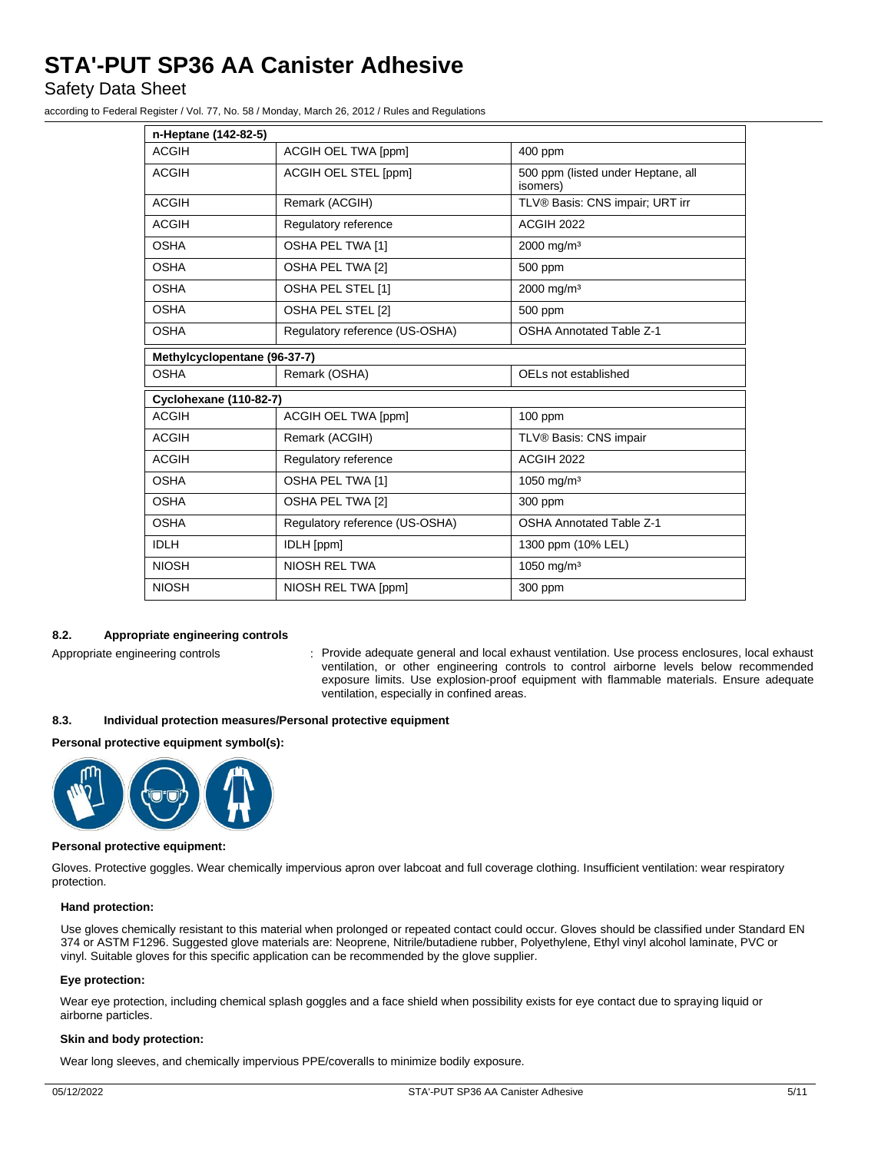Safety Data Sheet

according to Federal Register / Vol. 77, No. 58 / Monday, March 26, 2012 / Rules and Regulations

|                                                                                  | n-Heptane (142-82-5) |                                                |  |  |  |
|----------------------------------------------------------------------------------|----------------------|------------------------------------------------|--|--|--|
| <b>ACGIH</b>                                                                     | ACGIH OEL TWA [ppm]  | 400 ppm                                        |  |  |  |
| <b>ACGIH</b>                                                                     | ACGIH OEL STEL [ppm] | 500 ppm (listed under Heptane, all<br>isomers) |  |  |  |
| <b>ACGIH</b>                                                                     | Remark (ACGIH)       | TLV® Basis: CNS impair; URT irr                |  |  |  |
| <b>ACGIH</b>                                                                     | Regulatory reference | <b>ACGIH 2022</b>                              |  |  |  |
| <b>OSHA</b>                                                                      | OSHA PEL TWA [1]     | 2000 mg/m <sup>3</sup>                         |  |  |  |
| <b>OSHA</b>                                                                      | OSHA PEL TWA [2]     | 500 ppm                                        |  |  |  |
| <b>OSHA</b>                                                                      | OSHA PEL STEL [1]    | 2000 mg/m <sup>3</sup>                         |  |  |  |
| <b>OSHA</b>                                                                      | OSHA PEL STEL [2]    | 500 ppm                                        |  |  |  |
| <b>OSHA</b><br><b>OSHA Annotated Table Z-1</b><br>Regulatory reference (US-OSHA) |                      |                                                |  |  |  |
| Methylcyclopentane (96-37-7)                                                     |                      |                                                |  |  |  |
| <b>OSHA</b><br>Remark (OSHA)<br>OELs not established                             |                      |                                                |  |  |  |
| <b>Cyclohexane (110-82-7)</b>                                                    |                      |                                                |  |  |  |
| <b>ACGIH</b>                                                                     | ACGIH OEL TWA [ppm]  | 100 ppm                                        |  |  |  |
| <b>ACGIH</b>                                                                     | Remark (ACGIH)       | TLV® Basis: CNS impair                         |  |  |  |
| <b>ACGIH</b><br>Regulatory reference                                             |                      | <b>ACGIH 2022</b>                              |  |  |  |
| <b>OSHA</b><br>OSHA PEL TWA [1]                                                  |                      | 1050 mg/m <sup>3</sup>                         |  |  |  |
| <b>OSHA</b><br>OSHA PEL TWA [2]                                                  |                      | 300 ppm                                        |  |  |  |
| <b>OSHA</b><br>Regulatory reference (US-OSHA)                                    |                      | <b>OSHA Annotated Table Z-1</b>                |  |  |  |
| <b>IDLH</b>                                                                      | <b>IDLH</b> [ppm]    | 1300 ppm (10% LEL)                             |  |  |  |
| <b>NIOSH</b>                                                                     | <b>NIOSH REL TWA</b> | 1050 mg/m <sup>3</sup>                         |  |  |  |
| <b>NIOSH</b>                                                                     | NIOSH REL TWA [ppm]  | 300 ppm                                        |  |  |  |

# **8.2. Appropriate engineering controls**

Appropriate engineering controls : Provide adequate general and local exhaust ventilation. Use process enclosures, local exhaust ventilation, or other engineering controls to control airborne levels below recommended exposure limits. Use explosion-proof equipment with flammable materials. Ensure adequate ventilation, especially in confined areas.

### **8.3. Individual protection measures/Personal protective equipment**

**Personal protective equipment symbol(s):**



#### **Personal protective equipment:**

Gloves. Protective goggles. Wear chemically impervious apron over labcoat and full coverage clothing. Insufficient ventilation: wear respiratory protection.

#### **Hand protection:**

Use gloves chemically resistant to this material when prolonged or repeated contact could occur. Gloves should be classified under Standard EN 374 or ASTM F1296. Suggested glove materials are: Neoprene, Nitrile/butadiene rubber, Polyethylene, Ethyl vinyl alcohol laminate, PVC or vinyl. Suitable gloves for this specific application can be recommended by the glove supplier.

#### **Eye protection:**

Wear eye protection, including chemical splash goggles and a face shield when possibility exists for eye contact due to spraying liquid or airborne particles.

#### **Skin and body protection:**

Wear long sleeves, and chemically impervious PPE/coveralls to minimize bodily exposure.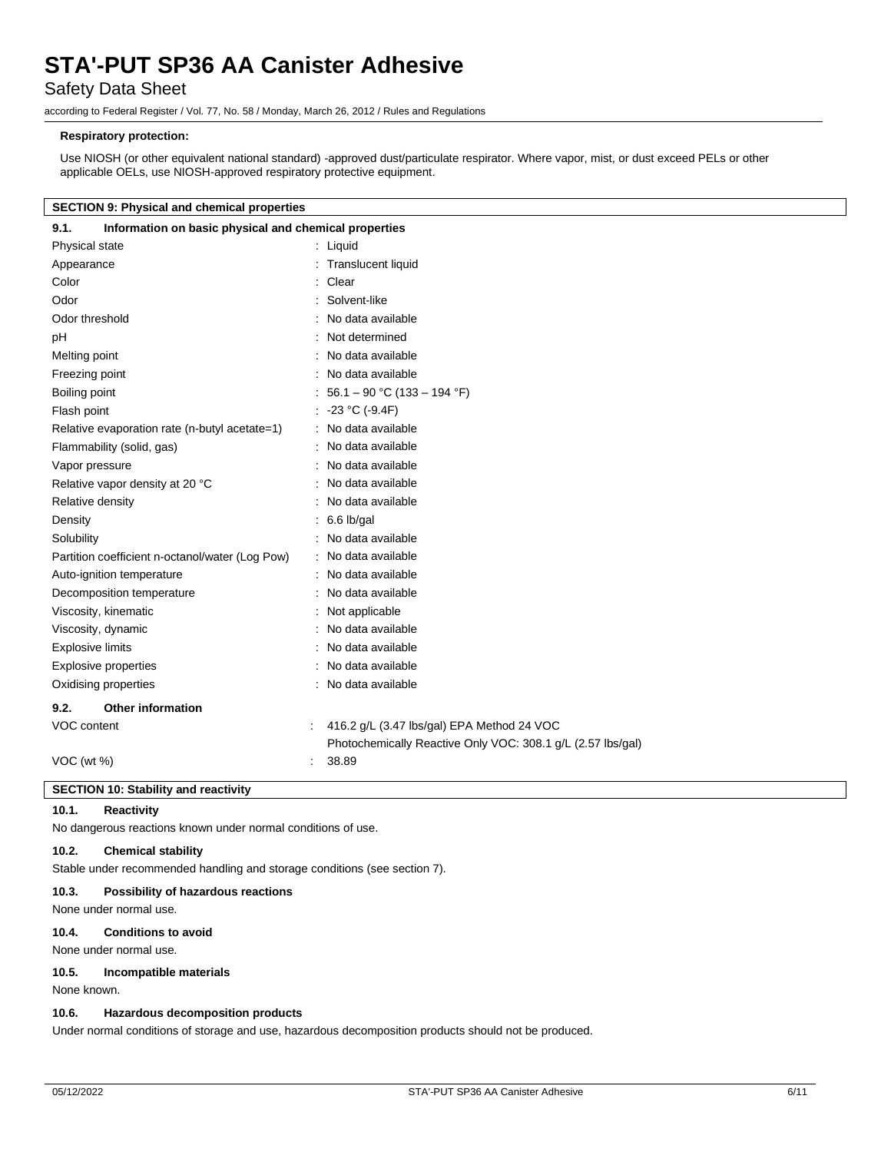# Safety Data Sheet

according to Federal Register / Vol. 77, No. 58 / Monday, March 26, 2012 / Rules and Regulations

## **Respiratory protection:**

Use NIOSH (or other equivalent national standard) -approved dust/particulate respirator. Where vapor, mist, or dust exceed PELs or other applicable OELs, use NIOSH-approved respiratory protective equipment.

### **SECTION 9: Physical and chemical properties**

| Information on basic physical and chemical properties       |
|-------------------------------------------------------------|
| : Liquid                                                    |
| <b>Translucent liquid</b>                                   |
| : Clear                                                     |
| : Solvent-like                                              |
| : No data available                                         |
| : Not determined                                            |
| : No data available                                         |
| : No data available                                         |
| : 56.1 – 90 °C (133 – 194 °F)                               |
| : $-23 °C (-9.4F)$                                          |
| : No data available                                         |
| : No data available                                         |
| : No data available                                         |
| : No data available                                         |
| : No data available                                         |
| $: 6.6$ lb/gal                                              |
| : No data available                                         |
| : No data available                                         |
| No data available                                           |
| : No data available                                         |
| : Not applicable                                            |
| No data available                                           |
| : No data available                                         |
| : No data available                                         |
| : No data available                                         |
|                                                             |
| 416.2 g/L (3.47 lbs/gal) EPA Method 24 VOC<br>÷             |
| Photochemically Reactive Only VOC: 308.1 g/L (2.57 lbs/gal) |
| 38.89                                                       |
|                                                             |

## **SECTION 10: Stability and reactivity**

## **10.1. Reactivity**

No dangerous reactions known under normal conditions of use.

#### **10.2. Chemical stability**

Stable under recommended handling and storage conditions (see section 7).

### **10.3. Possibility of hazardous reactions**

None under normal use.

### **10.4. Conditions to avoid**

None under normal use.

#### **10.5. Incompatible materials**

None known.

#### **10.6. Hazardous decomposition products**

Under normal conditions of storage and use, hazardous decomposition products should not be produced.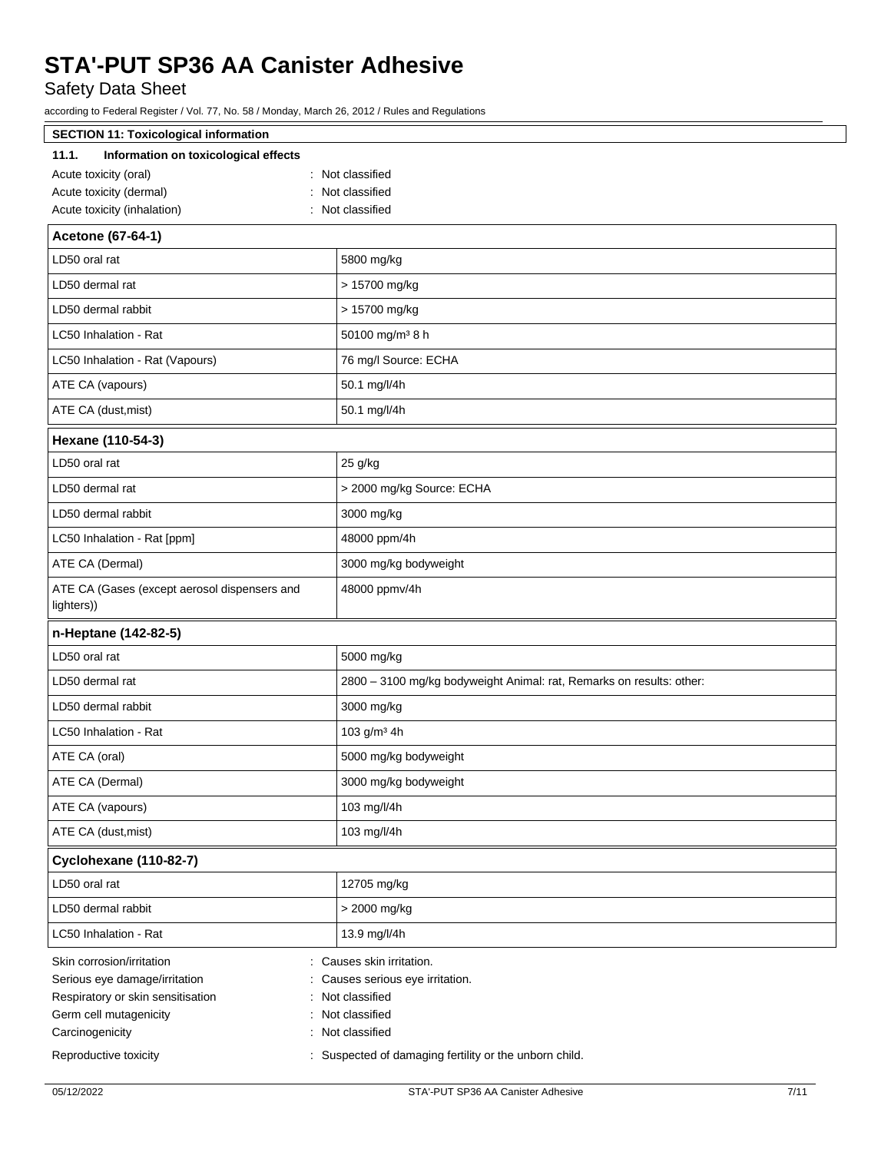Safety Data Sheet

according to Federal Register / Vol. 77, No. 58 / Monday, March 26, 2012 / Rules and Regulations

| <b>SECTION 11: Toxicological information</b>                                                                              |                                                                                                     |  |
|---------------------------------------------------------------------------------------------------------------------------|-----------------------------------------------------------------------------------------------------|--|
| 11.1.<br>Information on toxicological effects                                                                             |                                                                                                     |  |
| Acute toxicity (oral)                                                                                                     | : Not classified                                                                                    |  |
| Acute toxicity (dermal)                                                                                                   | : Not classified                                                                                    |  |
| Acute toxicity (inhalation)                                                                                               | : Not classified                                                                                    |  |
| Acetone (67-64-1)                                                                                                         |                                                                                                     |  |
| LD50 oral rat                                                                                                             | 5800 mg/kg                                                                                          |  |
| LD50 dermal rat                                                                                                           | > 15700 mg/kg                                                                                       |  |
| LD50 dermal rabbit                                                                                                        | > 15700 mg/kg                                                                                       |  |
| LC50 Inhalation - Rat                                                                                                     | 50100 mg/m <sup>3</sup> 8 h                                                                         |  |
| LC50 Inhalation - Rat (Vapours)                                                                                           | 76 mg/l Source: ECHA                                                                                |  |
| ATE CA (vapours)                                                                                                          | 50.1 mg/l/4h                                                                                        |  |
| ATE CA (dust, mist)                                                                                                       | 50.1 mg/l/4h                                                                                        |  |
| Hexane (110-54-3)                                                                                                         |                                                                                                     |  |
| LD50 oral rat                                                                                                             | 25 g/kg                                                                                             |  |
| LD50 dermal rat                                                                                                           | > 2000 mg/kg Source: ECHA                                                                           |  |
| LD50 dermal rabbit                                                                                                        | 3000 mg/kg                                                                                          |  |
| LC50 Inhalation - Rat [ppm]                                                                                               | 48000 ppm/4h                                                                                        |  |
| ATE CA (Dermal)                                                                                                           | 3000 mg/kg bodyweight                                                                               |  |
| ATE CA (Gases (except aerosol dispensers and<br>lighters))                                                                | 48000 ppmv/4h                                                                                       |  |
| n-Heptane (142-82-5)                                                                                                      |                                                                                                     |  |
| LD50 oral rat                                                                                                             | 5000 mg/kg                                                                                          |  |
| LD50 dermal rat                                                                                                           | 2800 - 3100 mg/kg bodyweight Animal: rat, Remarks on results: other:                                |  |
| LD50 dermal rabbit                                                                                                        | 3000 mg/kg                                                                                          |  |
| LC50 Inhalation - Rat                                                                                                     | 103 g/m <sup>3</sup> 4h                                                                             |  |
| ATE CA (oral)                                                                                                             | 5000 mg/kg bodyweight                                                                               |  |
| ATE CA (Dermal)                                                                                                           | 3000 mg/kg bodyweight                                                                               |  |
| ATE CA (vapours)                                                                                                          | 103 mg/l/4h                                                                                         |  |
| ATE CA (dust, mist)                                                                                                       | 103 mg/l/4h                                                                                         |  |
| Cyclohexane (110-82-7)                                                                                                    |                                                                                                     |  |
| LD50 oral rat                                                                                                             | 12705 mg/kg                                                                                         |  |
| LD50 dermal rabbit                                                                                                        | > 2000 mg/kg                                                                                        |  |
| LC50 Inhalation - Rat                                                                                                     | 13.9 mg/l/4h                                                                                        |  |
| Skin corrosion/irritation<br>Serious eye damage/irritation<br>Respiratory or skin sensitisation<br>Germ cell mutagenicity | : Causes skin irritation.<br>Causes serious eye irritation.<br>: Not classified<br>: Not classified |  |
| Carcinogenicity                                                                                                           | : Not classified                                                                                    |  |
| Reproductive toxicity                                                                                                     | : Suspected of damaging fertility or the unborn child.                                              |  |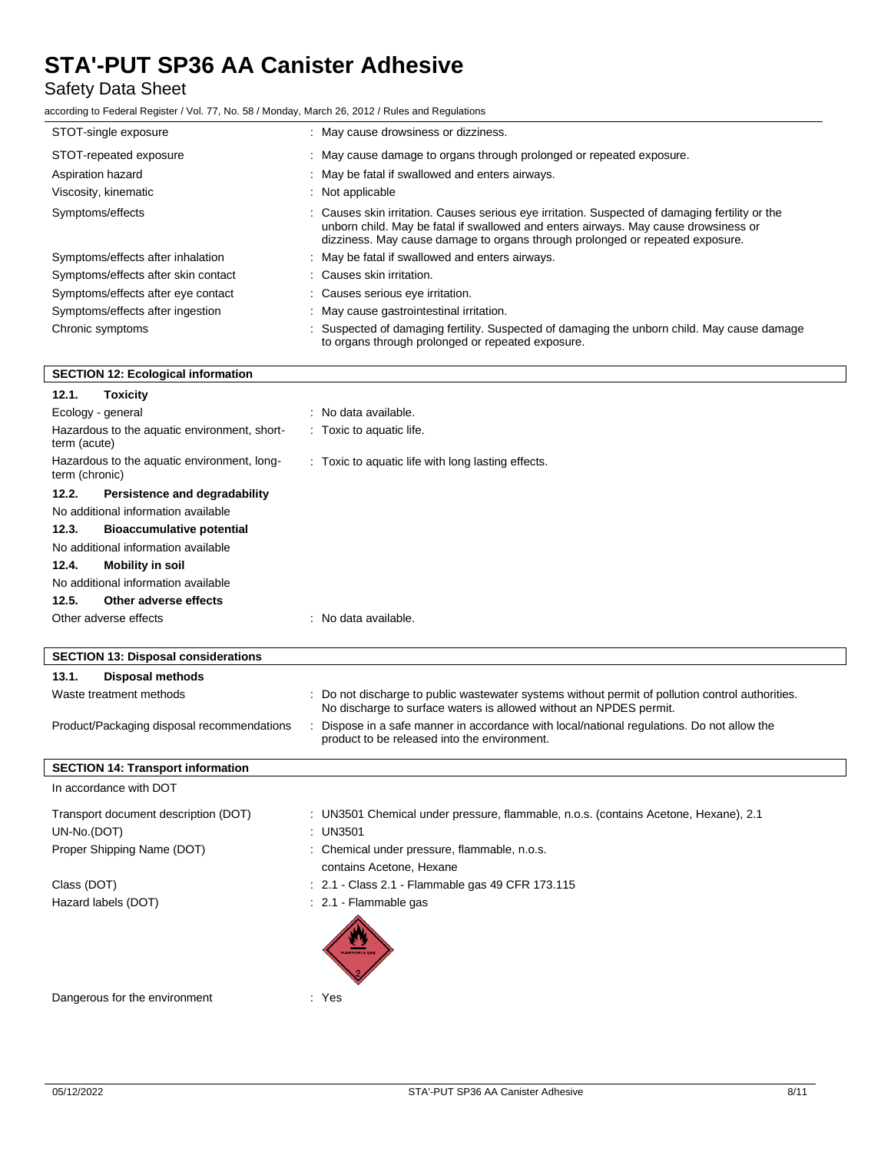# Safety Data Sheet

according to Federal Register / Vol. 77, No. 58 / Monday, March 26, 2012 / Rules and Regulations

| STOT-single exposure                      | : May cause drowsiness or dizziness.                                                                                                                                                                                                                                    |
|-------------------------------------------|-------------------------------------------------------------------------------------------------------------------------------------------------------------------------------------------------------------------------------------------------------------------------|
| STOT-repeated exposure                    | : May cause damage to organs through prolonged or repeated exposure.                                                                                                                                                                                                    |
| Aspiration hazard                         | : May be fatal if swallowed and enters airways.                                                                                                                                                                                                                         |
| Viscosity, kinematic                      | $\therefore$ Not applicable                                                                                                                                                                                                                                             |
| Symptoms/effects                          | : Causes skin irritation. Causes serious eye irritation. Suspected of damaging fertility or the<br>unborn child. May be fatal if swallowed and enters airways. May cause drowsiness or<br>dizziness. May cause damage to organs through prolonged or repeated exposure. |
| Symptoms/effects after inhalation         | : May be fatal if swallowed and enters airways.                                                                                                                                                                                                                         |
| Symptoms/effects after skin contact       | : Causes skin irritation.                                                                                                                                                                                                                                               |
| Symptoms/effects after eye contact        | : Causes serious eye irritation.                                                                                                                                                                                                                                        |
| Symptoms/effects after ingestion          | : May cause gastrointestinal irritation.                                                                                                                                                                                                                                |
| Chronic symptoms                          | : Suspected of damaging fertility. Suspected of damaging the unborn child. May cause damage<br>to organs through prolonged or repeated exposure.                                                                                                                        |
| <b>SECTION 12: Ecological information</b> |                                                                                                                                                                                                                                                                         |

# **SECTION 12: Ecological information**

| 12.1.<br>Toxicity                                             |                                                    |
|---------------------------------------------------------------|----------------------------------------------------|
| Ecology - general                                             | : No data available.                               |
| Hazardous to the aquatic environment, short-<br>term (acute)  | Toxic to aquatic life.                             |
| Hazardous to the aquatic environment, long-<br>term (chronic) | : Toxic to aquatic life with long lasting effects. |
| 12.2.<br>Persistence and degradability                        |                                                    |
| No additional information available                           |                                                    |
| <b>Bioaccumulative potential</b><br>12.3.                     |                                                    |
| No additional information available                           |                                                    |
| 12.4.<br>Mobility in soil                                     |                                                    |
| No additional information available                           |                                                    |
| 12.5.<br>Other adverse effects                                |                                                    |
| Other adverse effects                                         | : No data available.                               |
|                                                               |                                                    |
| <b>SECTION 13: Disposal considerations</b>                    |                                                    |

| <b>Disposal methods</b><br>13.1.           |                                                                                                                                                                        |
|--------------------------------------------|------------------------------------------------------------------------------------------------------------------------------------------------------------------------|
| Waste treatment methods                    | : Do not discharge to public wastewater systems without permit of pollution control authorities.<br>No discharge to surface waters is allowed without an NPDES permit. |
| Product/Packaging disposal recommendations | : Dispose in a safe manner in accordance with local/national regulations. Do not allow the<br>product to be released into the environment.                             |
| <b>SECTION 14: Transport information</b>   |                                                                                                                                                                        |
| In accordance with DOT                     |                                                                                                                                                                        |
| Transport document description (DOT)       | : UN3501 Chemical under pressure, flammable, n.o.s. (contains Acetone, Hexane), 2.1                                                                                    |
| UN-No.(DOT)                                | : UN3501                                                                                                                                                               |
| Proper Shipping Name (DOT)                 | : Chemical under pressure, flammable, n.o.s.                                                                                                                           |
|                                            | contains Acetone, Hexane                                                                                                                                               |
| Class (DOT)                                | : 2.1 - Class 2.1 - Flammable gas 49 CFR 173.115                                                                                                                       |
| Hazard labels (DOT)                        | : 2.1 Flammable gas                                                                                                                                                    |
|                                            |                                                                                                                                                                        |

Dangerous for the environment : Yes

 $\overline{\phantom{a}}$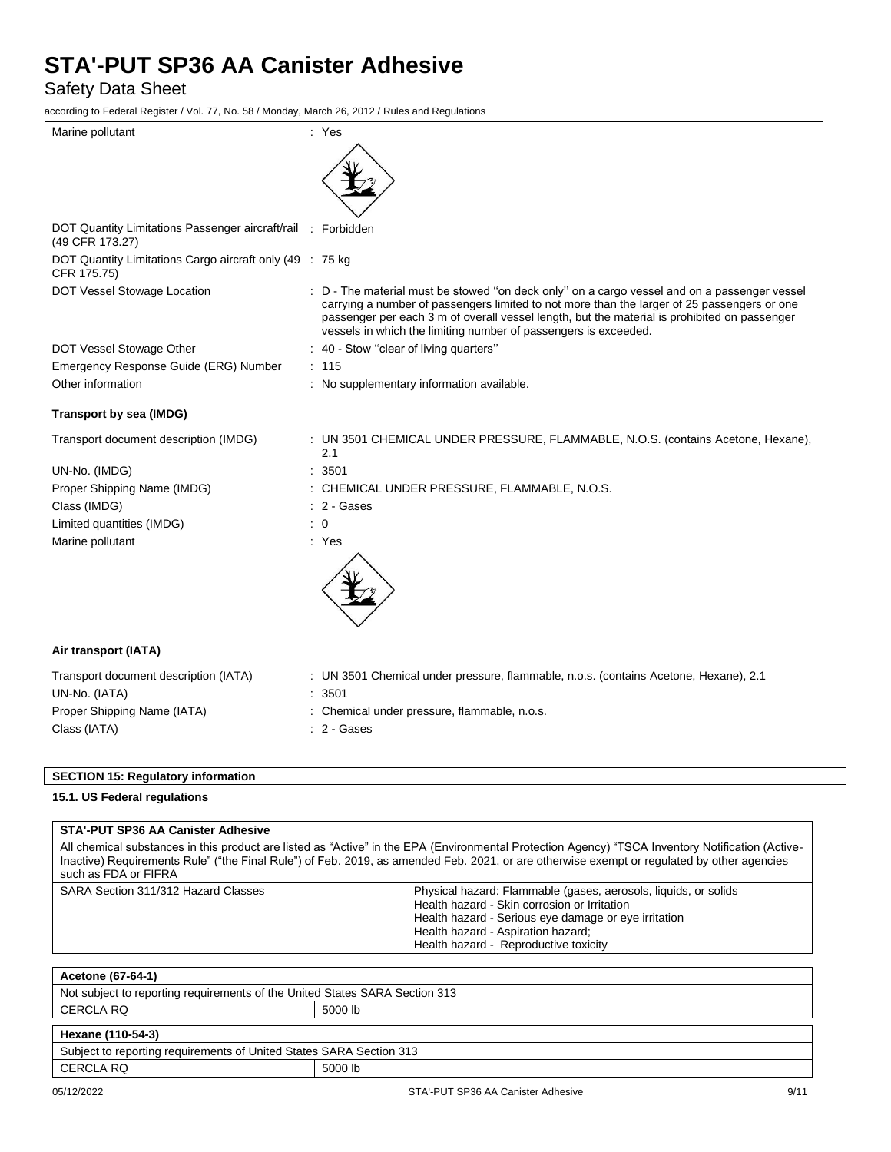Safety Data Sheet

according to Federal Register / Vol. 77, No. 58 / Monday, March 26, 2012 / Rules and Regulations

| Marine pollutant                                                                | : Yes                                                                                                                                                                                                                                                                                                                                                          |
|---------------------------------------------------------------------------------|----------------------------------------------------------------------------------------------------------------------------------------------------------------------------------------------------------------------------------------------------------------------------------------------------------------------------------------------------------------|
|                                                                                 |                                                                                                                                                                                                                                                                                                                                                                |
| DOT Quantity Limitations Passenger aircraft/rail : Forbidden<br>(49 CFR 173.27) |                                                                                                                                                                                                                                                                                                                                                                |
| DOT Quantity Limitations Cargo aircraft only (49 : 75 kg)<br>CFR 175.75)        |                                                                                                                                                                                                                                                                                                                                                                |
| DOT Vessel Stowage Location                                                     | : D - The material must be stowed "on deck only" on a cargo vessel and on a passenger vessel<br>carrying a number of passengers limited to not more than the larger of 25 passengers or one<br>passenger per each 3 m of overall vessel length, but the material is prohibited on passenger<br>vessels in which the limiting number of passengers is exceeded. |
| DOT Vessel Stowage Other                                                        | : 40 - Stow "clear of living quarters"                                                                                                                                                                                                                                                                                                                         |
| Emergency Response Guide (ERG) Number                                           | : 115                                                                                                                                                                                                                                                                                                                                                          |
| Other information                                                               | : No supplementary information available.                                                                                                                                                                                                                                                                                                                      |
| Transport by sea (IMDG)                                                         |                                                                                                                                                                                                                                                                                                                                                                |
| Transport document description (IMDG)                                           | : UN 3501 CHEMICAL UNDER PRESSURE, FLAMMABLE, N.O.S. (contains Acetone, Hexane),<br>2.1                                                                                                                                                                                                                                                                        |
| UN-No. (IMDG)                                                                   | 3501                                                                                                                                                                                                                                                                                                                                                           |
| Proper Shipping Name (IMDG)                                                     | CHEMICAL UNDER PRESSURE, FLAMMABLE, N.O.S.                                                                                                                                                                                                                                                                                                                     |
| Class (IMDG)                                                                    | 2 - Gases                                                                                                                                                                                                                                                                                                                                                      |
| Limited quantities (IMDG)                                                       | $\overline{0}$                                                                                                                                                                                                                                                                                                                                                 |
| Marine pollutant                                                                | : Yes                                                                                                                                                                                                                                                                                                                                                          |
|                                                                                 |                                                                                                                                                                                                                                                                                                                                                                |
| Air transport (IATA)                                                            |                                                                                                                                                                                                                                                                                                                                                                |
| Transport document description (IATA)                                           | : UN 3501 Chemical under pressure, flammable, n.o.s. (contains Acetone, Hexane), 2.1                                                                                                                                                                                                                                                                           |
| UN-No. (IATA)                                                                   | 3501                                                                                                                                                                                                                                                                                                                                                           |
| Proper Shipping Name (IATA)                                                     | Chemical under pressure, flammable, n.o.s.                                                                                                                                                                                                                                                                                                                     |
| Class (IATA)                                                                    | $: 2 - \text{Gases}$                                                                                                                                                                                                                                                                                                                                           |

# **SECTION 15: Regulatory information**

# **15.1. US Federal regulations**

# **STA'-PUT SP36 AA Canister Adhesive**

All chemical substances in this product are listed as "Active" in the EPA (Environmental Protection Agency) "TSCA Inventory Notification (Active-Inactive) Requirements Rule" ("the Final Rule") of Feb. 2019, as amended Feb. 2021, or are otherwise exempt or regulated by other agencies such as FDA or FIFRA

| SARA Section 311/312 Hazard Classes | Physical hazard: Flammable (gases, aerosols, liquids, or solids |
|-------------------------------------|-----------------------------------------------------------------|
|                                     | Health hazard - Skin corrosion or Irritation                    |
|                                     | Health hazard - Serious eye damage or eye irritation            |
|                                     | Health hazard - Aspiration hazard;                              |
|                                     | Health hazard - Reproductive toxicity                           |

| Acetone (67-64-1)                                                           |         |  |  |
|-----------------------------------------------------------------------------|---------|--|--|
| Not subject to reporting requirements of the United States SARA Section 313 |         |  |  |
| CERCLA RQ<br>5000 lb                                                        |         |  |  |
| Hexane (110-54-3)                                                           |         |  |  |
| Subject to reporting requirements of United States SARA Section 313         |         |  |  |
| CERCLA RQ                                                                   | 5000 lb |  |  |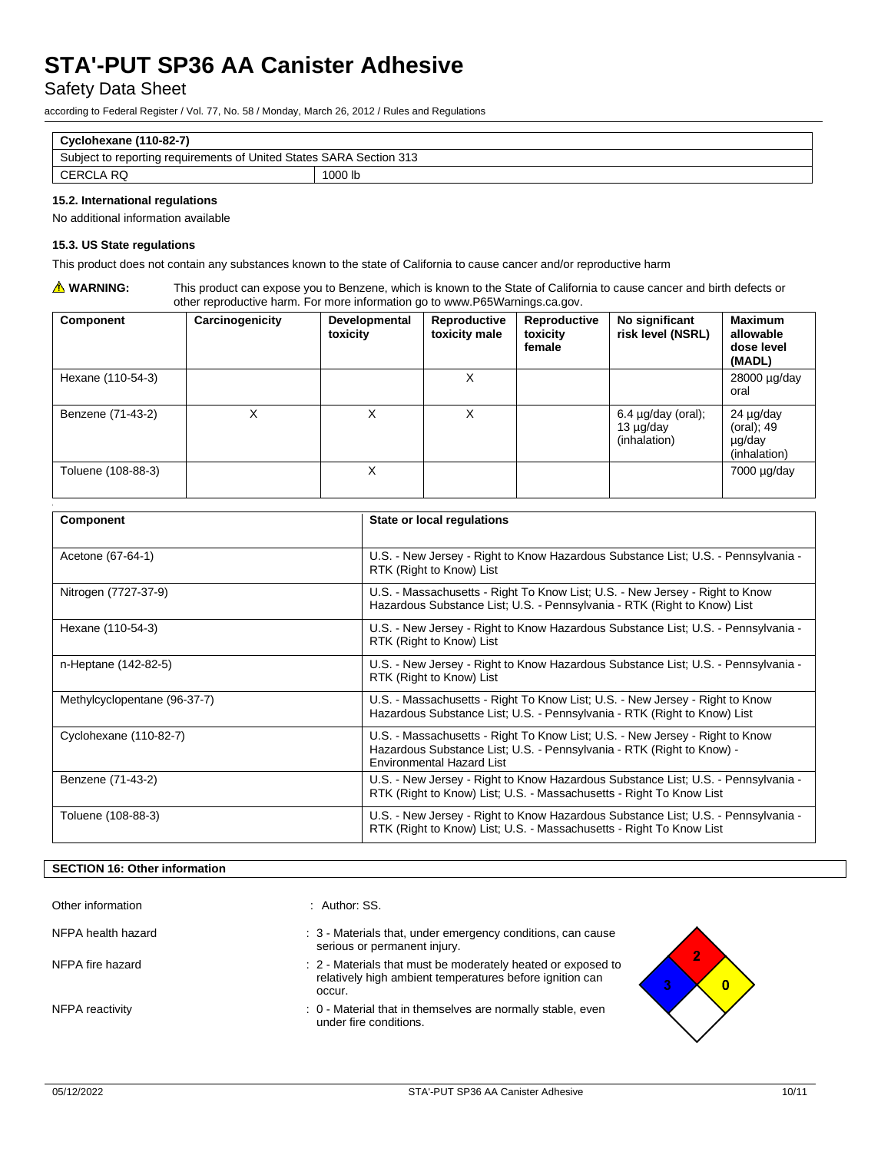Safety Data Sheet

according to Federal Register / Vol. 77, No. 58 / Monday, March 26, 2012 / Rules and Regulations

| Cyclohexane (110-82-7)                                              |         |
|---------------------------------------------------------------------|---------|
| Subject to reporting requirements of United States SARA Section 313 |         |
| CERCLA RQ                                                           | 1000 lb |
|                                                                     |         |

## **15.2. International regulations**

No additional information available

#### **15.3. US State regulations**

This product does not contain any substances known to the state of California to cause cancer and/or reproductive harm

**WARNING:** This product can expose you to Benzene, which is known to the State of California to cause cancer and birth defects or other reproductive harm. For more information go to www.P65Warnings.ca.gov.

| Component          | Carcinogenicity | Developmental<br>toxicity | Reproductive<br>toxicity male | Reproductive<br>toxicity<br>female | No significant<br>risk level (NSRL)                       | <b>Maximum</b><br>allowable<br>dose level<br>(MADL) |
|--------------------|-----------------|---------------------------|-------------------------------|------------------------------------|-----------------------------------------------------------|-----------------------------------------------------|
| Hexane (110-54-3)  |                 |                           | X                             |                                    |                                                           | 28000 µg/day<br>oral                                |
| Benzene (71-43-2)  | Χ               |                           | х                             |                                    | $6.4 \mu g/day$ (oral);<br>$13 \mu g/day$<br>(inhalation) | 24 µg/day<br>(oral); 49<br>µg/day<br>(inhalation)   |
| Toluene (108-88-3) |                 | X                         |                               |                                    |                                                           | $7000 \mu g/day$                                    |

| Component                    | State or local regulations                                                                                                                                                                |
|------------------------------|-------------------------------------------------------------------------------------------------------------------------------------------------------------------------------------------|
|                              |                                                                                                                                                                                           |
| Acetone (67-64-1)            | U.S. - New Jersey - Right to Know Hazardous Substance List; U.S. - Pennsylvania -<br>RTK (Right to Know) List                                                                             |
| Nitrogen (7727-37-9)         | U.S. - Massachusetts - Right To Know List; U.S. - New Jersey - Right to Know<br>Hazardous Substance List; U.S. - Pennsylvania - RTK (Right to Know) List                                  |
| Hexane (110-54-3)            | U.S. - New Jersey - Right to Know Hazardous Substance List; U.S. - Pennsylvania -<br>RTK (Right to Know) List                                                                             |
| n-Heptane (142-82-5)         | U.S. - New Jersey - Right to Know Hazardous Substance List; U.S. - Pennsylvania -<br>RTK (Right to Know) List                                                                             |
| Methylcyclopentane (96-37-7) | U.S. - Massachusetts - Right To Know List; U.S. - New Jersey - Right to Know<br>Hazardous Substance List; U.S. - Pennsylvania - RTK (Right to Know) List                                  |
| Cyclohexane (110-82-7)       | U.S. - Massachusetts - Right To Know List; U.S. - New Jersey - Right to Know<br>Hazardous Substance List; U.S. - Pennsylvania - RTK (Right to Know) -<br><b>Environmental Hazard List</b> |
| Benzene (71-43-2)            | U.S. - New Jersey - Right to Know Hazardous Substance List; U.S. - Pennsylvania -<br>RTK (Right to Know) List; U.S. - Massachusetts - Right To Know List                                  |
| Toluene (108-88-3)           | U.S. - New Jersey - Right to Know Hazardous Substance List; U.S. - Pennsylvania -<br>RTK (Right to Know) List; U.S. - Massachusetts - Right To Know List                                  |

## **SECTION 16: Other information**

| Other information  | : Author: SS.                                                                                                                      |  |
|--------------------|------------------------------------------------------------------------------------------------------------------------------------|--|
| NFPA health hazard | : 3 - Materials that, under emergency conditions, can cause<br>serious or permanent injury.                                        |  |
| NFPA fire hazard   | : 2 - Materials that must be moderately heated or exposed to<br>relatively high ambient temperatures before ignition can<br>occur. |  |
| NFPA reactivity    | : 0 - Material that in themselves are normally stable, even<br>under fire conditions.                                              |  |